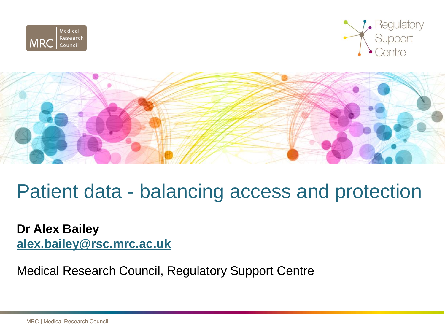





# Patient data - balancing access and protection

**Dr Alex Bailey [alex.bailey@rsc.mrc.ac.uk](mailto:alex.bailey@rsc.mrc.ac.uk)**

Medical Research Council, Regulatory Support Centre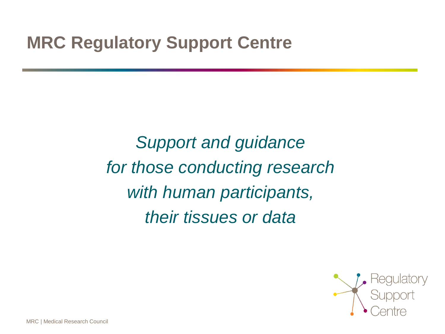## **MRC Regulatory Support Centre**

*Support and guidance for those conducting research with human participants, their tissues or data*

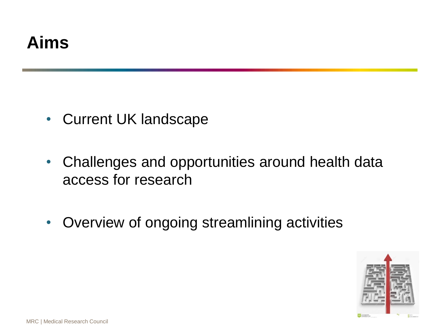# **Aims**

- Current UK landscape
- Challenges and opportunities around health data access for research
- Overview of ongoing streamlining activities

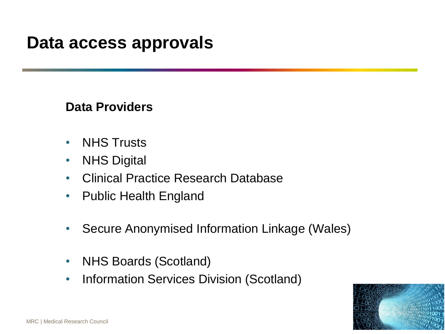## **Data access approvals**

## **Data Providers**

- NHS Trusts
- NHS Digital
- Clinical Practice Research Database
- Public Health England
- Secure Anonymised Information Linkage (Wales)
- NHS Boards (Scotland)
- Information Services Division (Scotland)

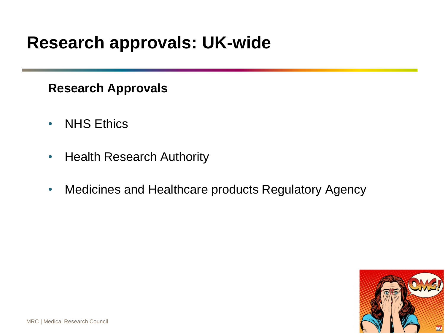## **Research approvals: UK-wide**

## **Research Approvals**

- NHS Ethics
- Health Research Authority
- Medicines and Healthcare products Regulatory Agency

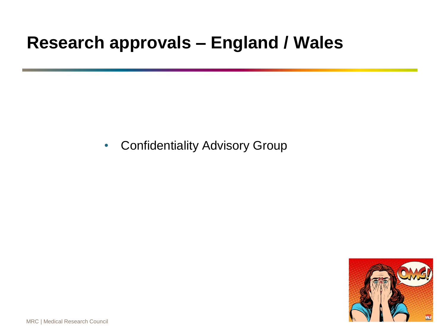## **Research approvals – England / Wales**

• Confidentiality Advisory Group

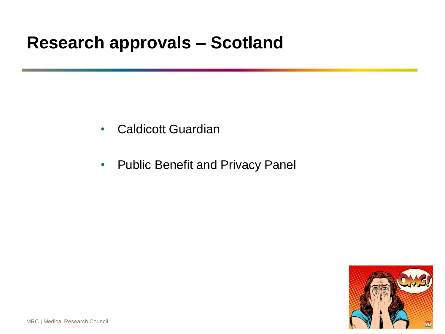## **Research approvals – Scotland**

- Caldicott Guardian
- Public Benefit and Privacy Panel

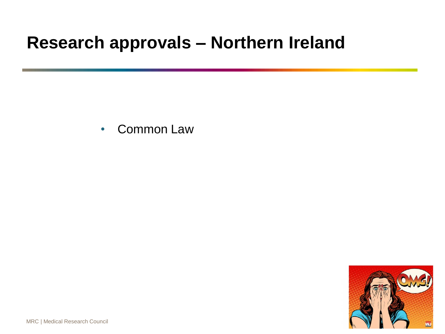## **Research approvals – Northern Ireland**

• Common Law

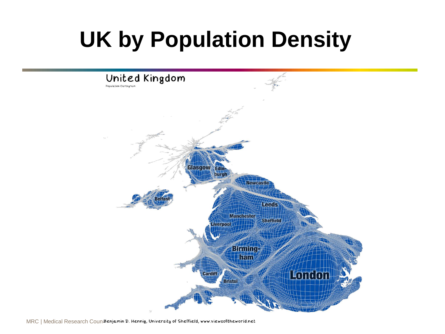# **UK by Population Density**



MRC | Medical Research Coun<sub>i</sub>Benjamin D. Hennig, University of Sheffield, www.viewsoftheworld.net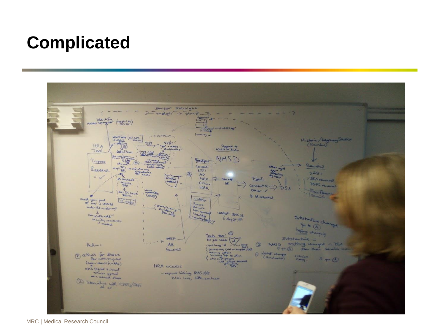## **Complicated**



MRC | Medical Research Council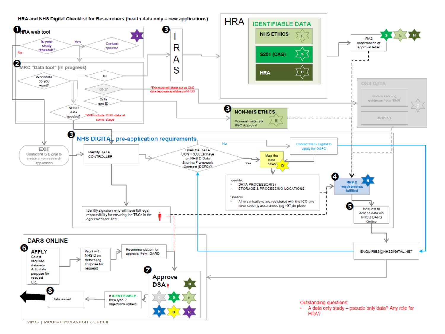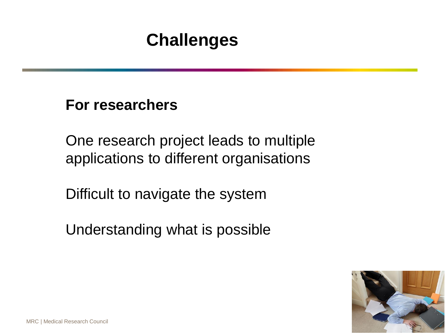# **Challenges**

**For researchers**

One research project leads to multiple applications to different organisations

Difficult to navigate the system

Understanding what is possible

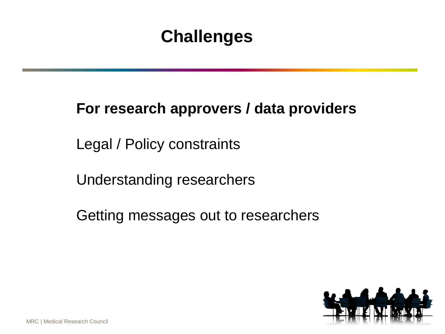# **Challenges**

## **For research approvers / data providers**

Legal / Policy constraints

Understanding researchers

Getting messages out to researchers

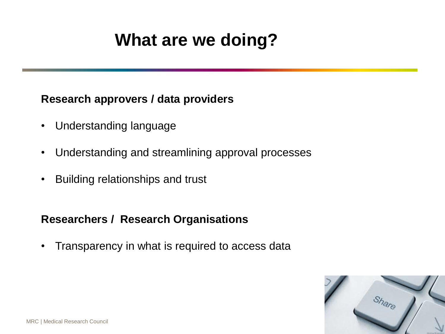# **What are we doing?**

#### **Research approvers / data providers**

- Understanding language
- Understanding and streamlining approval processes
- Building relationships and trust

### **Researchers / Research Organisations**

• Transparency in what is required to access data